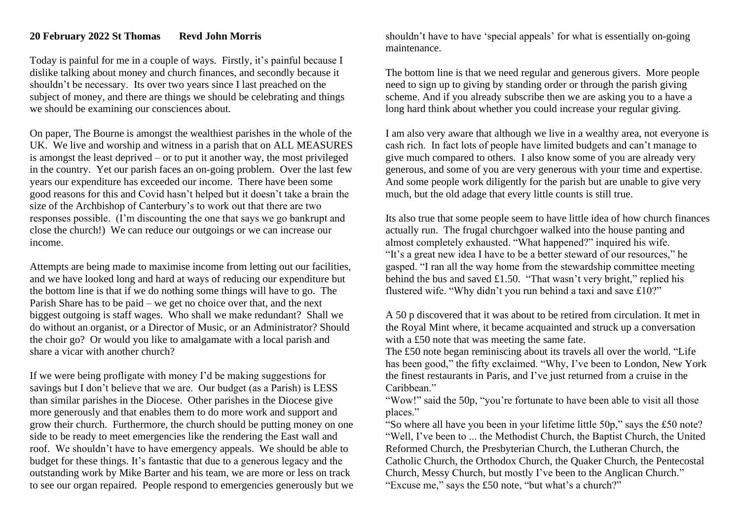Today is painful for me in a couple of ways. Firstly, it's painful because I dislike talking about money and church finances, and secondly because it shouldn't be necessary. Its over two years since I last preached on the subject of money, and there are things we should be celebrating and things we should be examining our consciences about.

On paper, The Bourne is amongst the wealthiest parishes in the whole of the UK. We live and worship and witness in a parish that on ALL MEASURES is amongst the least deprived – or to put it another way, the most privileged in the country. Yet our parish faces an on-going problem. Over the last few years our expenditure has exceeded our income. There have been some good reasons for this and Covid hasn't helped but it doesn't take a brain the size of the Archbishop of Canterbury's to work out that there are two responses possible. (I'm discounting the one that says we go bankrupt and close the church!) We can reduce our outgoings or we can increase our income.

Attempts are being made to maximise income from letting out our facilities, and we have looked long and hard at ways of reducing our expenditure but the bottom line is that if we do nothing some things will have to go. The Parish Share has to be paid – we get no choice over that, and the next biggest outgoing is staff wages. Who shall we make redundant? Shall we do without an organist, or a Director of Music, or an Administrator? Should the choir go? Or would you like to amalgamate with a local parish and share a vicar with another church?

If we were being profligate with money I'd be making suggestions for savings but I don't believe that we are. Our budget (as a Parish) is LESS than similar parishes in the Diocese. Other parishes in the Diocese give more generously and that enables them to do more work and support and grow their church. Furthermore, the church should be putting money on one side to be ready to meet emergencies like the rendering the East wall and roof. We shouldn't have to have emergency appeals. We should be able to budget for these things. It's fantastic that due to a generous legacy and the outstanding work by Mike Barter and his team, we are more or less on track to see our organ repaired. People respond to emergencies generously but we shouldn't have to have 'special appeals' for what is essentially on-going maintenance.

The bottom line is that we need regular and generous givers. More people need to sign up to giving by standing order or through the parish giving scheme. And if you already subscribe then we are asking you to a have a long hard think about whether you could increase your regular giving.

I am also very aware that although we live in a wealthy area, not everyone is cash rich. In fact lots of people have limited budgets and can't manage to give much compared to others. I also know some of you are already very generous, and some of you are very generous with your time and expertise. And some people work diligently for the parish but are unable to give very much, but the old adage that every little counts is still true.

Its also true that some people seem to have little idea of how church finances actually run. The frugal churchgoer walked into the house panting and almost completely exhausted. "What happened?" inquired his wife. "It's a great new idea I have to be a better steward of our resources," he gasped. "I ran all the way home from the stewardship committee meeting behind the bus and saved £1.50. "That wasn't very bright," replied his flustered wife. "Why didn't you run behind a taxi and save £10?"

A 50 p discovered that it was about to be retired from circulation. It met in the Royal Mint where, it became acquainted and struck up a conversation with a £50 note that was meeting the same fate.

The £50 note began reminiscing about its travels all over the world. "Life has been good," the fifty exclaimed. "Why, I've been to London, New York the finest restaurants in Paris, and I've just returned from a cruise in the Caribbean."

"Wow!" said the 50p, "you're fortunate to have been able to visit all those places."

"So where all have you been in your lifetime little 50p," says the £50 note? "Well, I've been to ... the Methodist Church, the Baptist Church, the United Reformed Church, the Presbyterian Church, the Lutheran Church, the Catholic Church, the Orthodox Church, the Quaker Church, the Pentecostal Church, Messy Church, but mostly I've been to the Anglican Church." "Excuse me," says the £50 note, "but what's a church?"